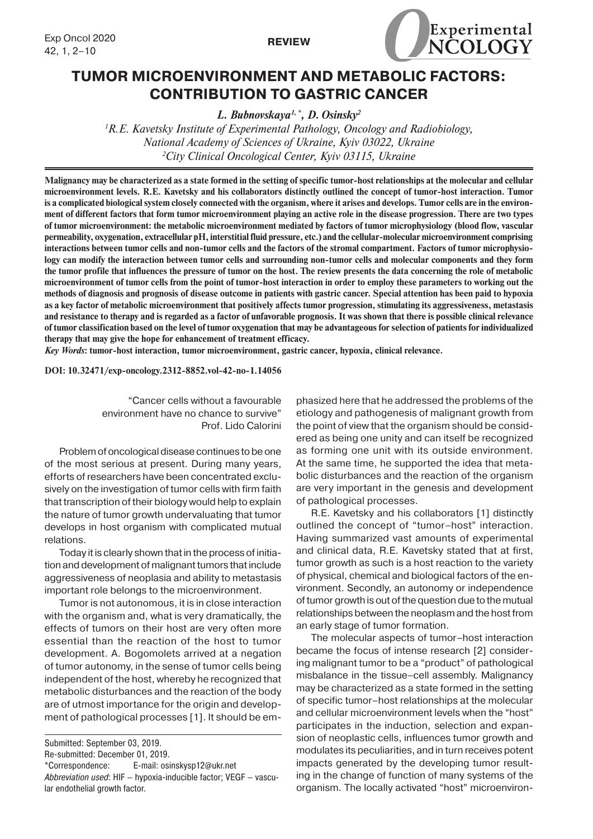



# **TUMOR MICROENVIRONMENT AND METABOLIC FACTORS: CONTRIBUTION TO GASTRIC CANCER**

*L. Bubnovskaya1, \*, D. Osinsky2*

*1 R.E. Kavetsky Institute of Experimental Pathology, Oncology and Radiobiology, National Academy of Sciences of Ukraine, Kyiv 03022, Ukraine 2 City Clinical Oncological Center, Kyiv 03115, Ukraine*

**Malignancy may be characterized as a state formed in the setting of specific tumor-host relationships at the molecular and cellular microenvironment levels. R.E. Kavetsky and his collaborators distinctly outlined the concept of tumor-host interaction. Tumor is a complicated biological system closely connected with the organism, where it arises and develops. Tumor cells are in the environment of different factors that form tumor microenvironment playing an active role in the disease progression. There are two types of tumor microenvironment: the metabolic microenvironment mediated by factors of tumor microphysiology (blood flow, vascular permeability, oxygenation, extracellular рН, interstitial fluid pressure, etc.) and the cellular-molecular microenvironment comprising interactions between tumor cells and non-tumor cells and the factors of the stromal compartment. Factors of tumor microphysiology can modify the interaction between tumor cells and surrounding non-tumor cells and molecular components and they form the tumor profile that influences the pressure of tumor on the host. The review presents the data concerning the role of metabolic microenvironment of tumor cells from the point of tumor-host interaction in order to employ these parameters to working out the methods of diagnosis and prognosis of disease outcome in patients with gastric cancer. Special attention has been paid to hypoxia as a key factor of metabolic microenvironment that positively affects tumor progression, stimulating its aggressiveness, metastasis and resistance to therapy and is regarded as a factor of unfavorable prognosis. It was shown that there is possible clinical relevance of tumor classification based on the level of tumor oxygenation that may be advantageous for selection of patients for individualized therapy that may give the hope for enhancement of treatment efficacy.** 

*Key Words***: tumor-host interaction, tumor microenvironment, gastric cancer, hypoxia, clinical relevance.**

**DOI: 10.32471/exp-oncology.2312-8852.vol-42-no-1.14056**

"Cancer cells without a favourable environment have no chance to survive" Prof. Lido Calorini

Problem of oncological disease continues to be one of the most serious at present. During many years, efforts of researchers have been concentrated exclusively on the investigation of tumor cells with firm faith that transcription of their biology would help to explain the nature of tumor growth undervaluating that tumor develops in host organism with complicated mutual relations.

Today it is clearly shown that in the process of initiation and development of malignant tumors that include aggressiveness of neoplasia and ability to metastasis important role belongs to the microenvironment.

Tumor is not autonomous, it is in close interaction with the organism and, what is very dramatically, the effects of tumors on their host are very often more essential than the reaction of the host to tumor development. A. Bogomolets arrived at a negation of tumor autonomy, in the sense of tumor cells being independent of the host, whereby he recognized that metabolic disturbances and the reaction of the body are of utmost importance for the origin and development of pathological processes [1]. It should be emphasized here that he addressed the problems of the etiology and pathogenesis of malignant growth from the point of view that the organism should be considered as being one unity and can itself be recognized as forming one unit with its outside environment. At the same time, he supported the idea that metabolic disturbances and the reaction of the organism are very important in the genesis and development of pathological processes.

R.E. Kavetsky and his collaborators [1] distinctly outlined the concept of "tumor–host" interaction. Having summarized vast amounts of experimental and clinical data, R.E. Kavetsky stated that at first, tumor growth as such is a host reaction to the variety of physical, chemical and biological factors of the environment. Secondly, an autonomy or independence of tumor growth is out of the question due to the mutual relationships between the neoplasm and the host from an early stage of tumor formation.

The molecular aspects of tumor–host interaction became the focus of intense research [2] considering malignant tumor to be a "product" of pathological misbalance in the tissue–cell assembly. Malignancy may be characterized as a state formed in the setting of specific tumor–host relationships at the molecular and cellular microenvironment levels when the "host" participates in the induction, selection and expansion of neoplastic cells, influences tumor growth and modulates its peculiarities, and in turn receives potent impacts generated by the developing tumor resulting in the change of function of many systems of the organism. The locally activated "host" microenviron-

Submitted: September 03, 2019.

Re-submitted: December 01, 2019.

<sup>\*</sup>Correspondence: E-mail: osinskysp12@ukr.net

*Abbreviation used*: HIF – hypoxia-inducible factor; VEGF – vascular endothelial growth factor.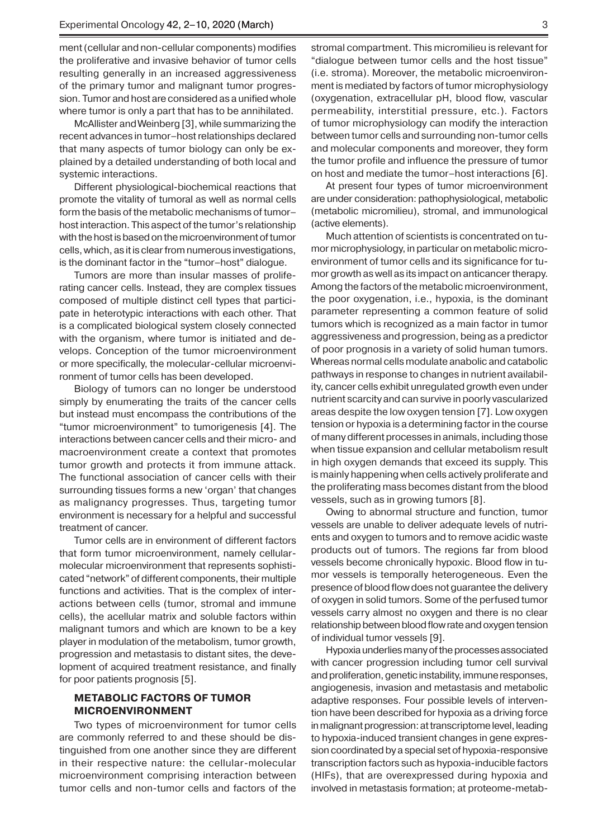ment (cellular and non-cellular components) modifies the proliferative and invasive behavior of tumor cells resulting generally in an increased aggressiveness of the primary tumor and malignant tumor progression. Tumor and host are considered as a unified whole where tumor is only a part that has to be annihilated.

McAllister and Weinberg [3], while summarizing the recent advances in tumor–host relationships declared that many aspects of tumor biology can only be explained by a detailed understanding of both local and systemic interactions.

Different physiological-biochemical reactions that promote the vitality of tumoral as well as normal cells form the basis of the metabolic mechanisms of tumor– host interaction. This aspect of the tumor's relationship with the host is based on the microenvironment of tumor cells, which, as it is clear from numerous investigations, is the dominant factor in the "tumor–host" dialogue.

Tumors are more than insular masses of proliferating cancer cells. Instead, they are complex tissues composed of multiple distinct cell types that participate in heterotypic interactions with each other. That is a complicated biological system closely connected with the organism, where tumor is initiated and develops. Conception of the tumor microenvironment or more specifically, the molecular-cellular microenvironment of tumor cells has been developed.

Biology of tumors can no longer be understood simply by enumerating the traits of the cancer cells but instead must encompass the contributions of the "tumor microenvironment" to tumorigenesis [4]. The interactions between cancer cells and their micro- and macroenvironment create a context that promotes tumor growth and protects it from immune attack. The functional association of cancer cells with their surrounding tissues forms a new 'organ' that changes as malignancy progresses. Thus, targeting tumor environment is necessary for a helpful and successful treatment of cancer.

Tumor cells are in environment of different factors that form tumor microenvironment, namely cellularmolecular microenvironment that represents sophisticated "network" of different components, their multiple functions and activities. That is the complex of interactions between cells (tumor, stromal and immune cells), the acellular matrix and soluble factors within malignant tumors and which are known to be a key player in modulation of the metabolism, tumor growth, progression and metastasis to distant sites, the development of acquired treatment resistance, and finally for poor patients prognosis [5].

## **METABOLIC FACTORS OF TUMOR MICROENVIRONMENT**

Two types of microenvironment for tumor cells are commonly referred to and these should be distinguished from one another since they are different in their respective nature: the cellular-molecular microenvironment comprising interaction between tumor cells and non-tumor cells and factors of the

stromal compartment. This micromilieu is relevant for "dialogue between tumor cells and the host tissue" (i.e. stroma). Moreover, the metabolic microenvironment is mediated by factors of tumor microphysiology (oxygenation, extracellular pH, blood flow, vascular permeability, interstitial pressure, etc.). Factors of tumor microphysiology can modify the interaction between tumor cells and surrounding non-tumor cells and molecular components and moreover, they form the tumor profile and influence the pressure of tumor on host and mediate the tumor–host interactions [6].

At present four types of tumor microenvironment are under consideration: pathophysiological, metabolic (metabolic micromilieu), stromal, and immunological (active elements).

Much attention of scientists is concentrated on tumor microphysiology, in particular on metabolic microenvironment of tumor cells and its significance for tumor growth as well as its impact on anticancer therapy. Among the factors of the metabolic microenvironment, the poor oxygenation, i.e., hypoxia, is the dominant parameter representing a common feature of solid tumors which is recognized as a main factor in tumor aggressiveness and progression, being as a predictor of poor prognosis in a variety of solid human tumors. Whereas normal cells modulate anabolic and catabolic pathways in response to changes in nutrient availability, cancer cells exhibit unregulated growth even under nutrient scarcity and can survive in poorly vascularized areas despite the low oxygen tension [7]. Low oxygen tension or hypoxia is a determining factor in the course of many different processes in animals, including those when tissue expansion and cellular metabolism result in high oxygen demands that exceed its supply. This is mainly happening when cells actively proliferate and the proliferating mass becomes distant from the blood vessels, such as in growing tumors [8].

Owing to abnormal structure and function, tumor vessels are unable to deliver adequate levels of nutrients and oxygen to tumors and to remove acidic waste products out of tumors. The regions far from blood vessels become chronically hypoxic. Blood flow in tumor vessels is temporally heterogeneous. Even the presence of blood flow does not guarantee the delivery of oxygen in solid tumors. Some of the perfused tumor vessels carry almost no oxygen and there is no clear relationship between blood flow rate and oxygen tension of individual tumor vessels [9].

Hypoxia underlies many of the processes associated with cancer progression including tumor cell survival and proliferation, genetic instability, immune responses, angiogenesis, invasion and metastasis and metabolic adaptive responses. Four possible levels of intervention have been described for hypoxia as a driving force in malignant progression: at transcriptome level, leading to hypoxia-induced transient changes in gene expression coordinated by a special set of hypoxia-responsive transcription factors such as hypoxia-inducible factors (HIFs), that are overexpressed during hypoxia and involved in metastasis formation; at proteome-metab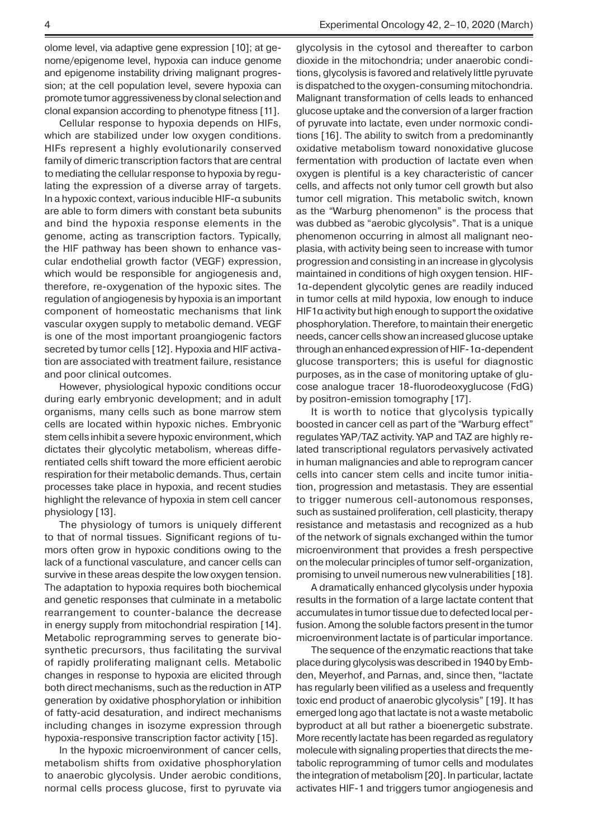olome level, via adaptive gene expression [10]; at genome/epigenome level, hypoxia can induce genome and epigenome instability driving malignant progression; at the cell population level, severe hypoxia can promote tumor aggressiveness by clonal selection and clonal expansion according to phenotype fitness [11].

Cellular response to hypoxia depends on HIFs, which are stabilized under low oxygen conditions. HIFs represent a highly evolutionarily conserved family of dimeric transcription factors that are central to mediating the cellular response to hypoxia by regulating the expression of a diverse array of targets. In a hypoxic context, various inducible HIF-α subunits are able to form dimers with constant beta subunits and bind the hypoxia response elements in the genome, acting as transcription factors. Typically, the HIF pathway has been shown to enhance vascular endothelial growth factor (VEGF) expression, which would be responsible for angiogenesis and, therefore, re-oxygenation of the hypoxic sites. The regulation of angiogenesis by hypoxia is an important component of homeostatic mechanisms that link vascular oxygen supply to metabolic demand. VEGF is one of the most important proangiogenic factors secreted by tumor cells [12]. Hypoxia and HIF activation are associated with treatment failure, resistance and poor clinical outcomes.

However, physiological hypoxic conditions occur during early embryonic development; and in adult organisms, many cells such as bone marrow stem cells are located within hypoxic niches. Embryonic stem cells inhibit a severe hypoxic environment, which dictates their glycolytic metabolism, whereas differentiated cells shift toward the more efficient aerobic respiration for their metabolic demands. Thus, certain processes take place in hypoxia, and recent studies highlight the relevance of hypoxia in stem cell cancer physiology [13].

The physiology of tumors is uniquely different to that of normal tissues. Significant regions of tumors often grow in hypoxic conditions owing to the lack of a functional vasculature, and cancer cells can survive in these areas despite the low oxygen tension. The adaptation to hypoxia requires both biochemical and genetic responses that culminate in a metabolic rearrangement to counter-balance the decrease in energy supply from mitochondrial respiration [14]. Metabolic reprogramming serves to generate biosynthetic precursors, thus facilitating the survival of rapidly proliferating malignant cells. Metabolic changes in response to hypoxia are elicited through both direct mechanisms, such as the reduction in ATP generation by oxidative phosphorylation or inhibition of fatty-acid desaturation, and indirect mechanisms including changes in isozyme expression through hypoxia-responsive transcription factor activity [15].

In the hypoxic microenvironment of cancer cells, metabolism shifts from oxidative phosphorylation to anaerobic glycolysis. Under aerobic conditions, normal cells process glucose, first to pyruvate via glycolysis in the cytosol and thereafter to carbon dioxide in the mitochondria; under anaerobic conditions, glycolysis is favored and relatively little pyruvate is dispatched to the oxygen-consuming mitochondria. Malignant transformation of cells leads to enhanced glucose uptake and the conversion of a larger fraction of pyruvate into lactate, even under normoxic conditions [16]. The ability to switch from a predominantly oxidative metabolism toward nonoxidative glucose fermentation with production of lactate even when oxygen is plentiful is a key characteristic of cancer cells, and affects not only tumor cell growth but also tumor cell migration. This metabolic switch, known as the "Warburg phenomenon" is the process that was dubbed as "aerobic glycolysis". That is a unique phenomenon occurring in almost all malignant neoplasia, with activity being seen to increase with tumor progression and consisting in an increase in glycolysis maintained in conditions of high oxygen tension. HIF-1α-dependent glycolytic genes are readily induced in tumor cells at mild hypoxia, low enough to induce HIF1 $\alpha$  activity but high enough to support the oxidative phosphorylation. Therefore, to maintain their energetic needs, cancer cells show an increased glucose uptake through an enhanced expression of HIF-1α-dependent glucose transporters; this is useful for diagnostic purposes, as in the case of monitoring uptake of glucose analogue tracer 18-fluorodeoxyglucose (FdG) by positron-emission tomography [17].

It is worth to notice that glycolysis typically boosted in cancer cell as part of the "Warburg effect" regulates YAP/TAZ activity. YAP and TAZ are highly related transcriptional regulators pervasively activated in human malignancies and able to reprogram cancer cells into cancer stem cells and incite tumor initiation, progression and metastasis. They are essential to trigger numerous cell-autonomous responses, such as sustained proliferation, cell plasticity, therapy resistance and metastasis and recognized as a hub of the network of signals exchanged within the tumor microenvironment that provides a fresh perspective on the molecular principles of tumor self-organization, promising to unveil numerous new vulnerabilities [18].

A dramatically enhanced glycolysis under hypoxia results in the formation of a large lactate content that accumulates in tumor tissue due to defected local perfusion. Among the soluble factors present in the tumor microenvironment lactate is of particular importance.

The sequence of the enzymatic reactions that take place during glycolysis was described in 1940 by Embden, Meyerhof, and Parnas, and, since then, "lactate has regularly been vilified as a useless and frequently toxic end product of anaerobic glycolysis" [19]. It has emerged long ago that lactate is not a waste metabolic byproduct at all but rather a bioenergetic substrate. More recently lactate has been regarded as regulatory molecule with signaling properties that directs the metabolic reprogramming of tumor cells and modulates the integration of metabolism [20]. In particular, lactate activates HIF-1 and triggers tumor angiogenesis and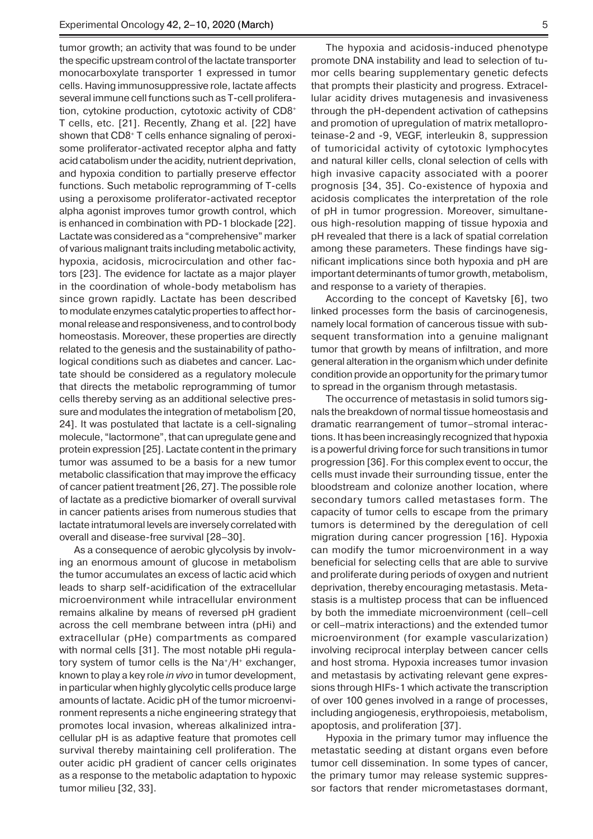tumor growth; an activity that was found to be under the specific upstream control of the lactate transporter monocarboxylate transporter 1 expressed in tumor cells. Having immunosuppressive role, lactate affects several immune cell functions such as T-cell proliferation, cytokine production, cytotoxic activity of CD8+ T cells, etc. [21]. Recently, Zhang et al. [22] have shown that CD8<sup>+</sup> T cells enhance signaling of peroxisome proliferator-activated receptor alpha and fatty acid catabolism under the acidity, nutrient deprivation, and hypoxia condition to partially preserve effector functions. Such metabolic reprogramming of T-cells using a peroxisome proliferator-activated receptor alpha agonist improves tumor growth control, which is enhanced in combination with PD-1 blockade [22]. Lactate was considered as a "comprehensive" marker of various malignant traits including metabolic activity, hypoxia, acidosis, microcirculation and other factors [23]. The evidence for lactate as a major player in the coordination of whole-body metabolism has since grown rapidly. Lactate has been described to modulate enzymes catalytic properties to affect hormonal release and responsiveness, and to control body homeostasis. Moreover, these properties are directly related to the genesis and the sustainability of pathological conditions such as diabetes and cancer. Lactate should be considered as a regulatory molecule that directs the metabolic reprogramming of tumor cells thereby serving as an additional selective pressure and modulates the integration of metabolism [20, 24]. It was postulated that lactate is a cell-signaling molecule, "lactormone", that can upregulate gene and protein expression [25]. Lactate content in the primary tumor was assumed to be a basis for a new tumor metabolic classification that may improve the efficacy of cancer patient treatment[26, 27]. The possible role of lactate as a predictive biomarker of overall survival in cancer patients arises from numerous studies that lactate intratumoral levels are inversely correlated with overall and disease-free survival [28–30].

As a consequence of aerobic glycolysis by involving an enormous amount of glucose in metabolism the tumor accumulates an excess of lactic acid which leads to sharp self-acidification of the extracellular microenvironment while intracellular environment remains alkaline by means of reversed pH gradient across the cell membrane between intra (pHi) and extracellular (pHe) compartments as compared with normal cells [31]. The most notable pHi regulatory system of tumor cells is the Na<sup>+</sup>/H<sup>+</sup> exchanger, known to play a key role *in vivo* in tumor development, in particular when highly glycolytic cells produce large amounts of lactate. Acidic pH of the tumor microenvironment represents a niche engineering strategy that promotes local invasion, whereas alkalinized intracellular pH is as adaptive feature that promotes cell survival thereby maintaining cell proliferation. The outer acidic pH gradient of cancer cells originates as a response to the metabolic adaptation to hypoxic tumor milieu [32, 33].

The hypoxia and acidosis-induced phenotype promote DNA instability and lead to selection of tumor cells bearing supplementary genetic defects that prompts their plasticity and progress. Extracellular acidity drives mutagenesis and invasiveness through the pH-dependent activation of cathepsins and promotion of upregulation of matrix metalloproteinase-2 and -9, VEGF, interleukin 8, suppression of tumoricidal activity of cytotoxic lymphocytes and natural killer cells, clonal selection of cells with high invasive capacity associated with a poorer prognosis [34, 35]. Co-existence of hypoxia and acidosis complicates the interpretation of the role of pH in tumor progression. Moreover, simultaneous high-resolution mapping of tissue hypoxia and pH revealed that there is a lack of spatial correlation among these parameters. These findings have significant implications since both hypoxia and pH are important determinants of tumor growth, metabolism, and response to a variety of therapies.

According to the concept of Kavetsky [6], two linked processes form the basis of carcinogenesis, namely local formation of cancerous tissue with subsequent transformation into a genuine malignant tumor that growth by means of infiltration, and more general alteration in the organism which under definite condition provide an opportunity for the primary tumor to spread in the organism through metastasis.

The occurrence of metastasis in solid tumors signals the breakdown of normal tissue homeostasis and dramatic rearrangement of tumor–stromal interactions. It has been increasingly recognized that hypoxia is a powerful driving force for such transitions in tumor progression [36]. For this complex event to occur, the cells must invade their surrounding tissue, enter the bloodstream and colonize another location, where secondary tumors called metastases form. The capacity of tumor cells to escape from the primary tumors is determined by the deregulation of cell migration during cancer progression [16]. Hypoxia can modify the tumor microenvironment in a way beneficial for selecting cells that are able to survive and proliferate during periods of oxygen and nutrient deprivation, thereby encouraging metastasis. Metastasis is a multistep process that can be influenced by both the immediate microenvironment (cell–cell or cell–matrix interactions) and the extended tumor microenvironment (for example vascularization) involving reciprocal interplay between cancer cells and host stroma. Hypoxia increases tumor invasion and metastasis by activating relevant gene expressions through HIFs-1 which activate the transcription of over 100 genes involved in a range of processes, including angiogenesis, erythropoiesis, metabolism, apoptosis, and proliferation [37].

Hypoxia in the primary tumor may influence the metastatic seeding at distant organs even before tumor cell dissemination. In some types of cancer, the primary tumor may release systemic suppressor factors that render micrometastases dormant,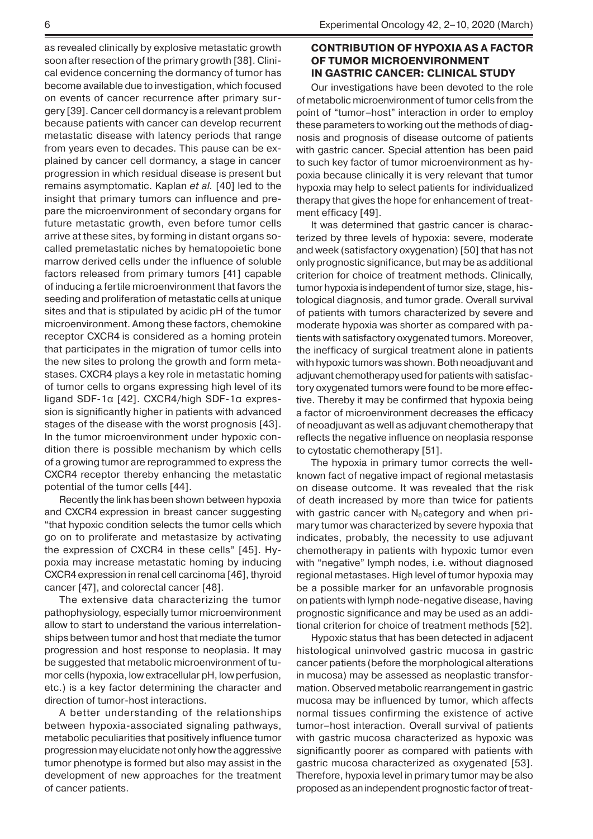as revealed clinically by explosive metastatic growth soon after resection of the primary growth [38]. Clinical evidence concerning the dormancy of tumor has become available due to investigation, which focused on events of cancer recurrence after primary surgery [39]. Cancer cell dormancy is a relevant problem because patients with cancer can develop recurrent metastatic disease with latency periods that range from years even to decades. This pause can be explained by cancer cell dormancy, a stage in cancer progression in which residual disease is present but remains asymptomatic. Kaplan *et al.* [40] led to the insight that primary tumors can influence and prepare the microenvironment of secondary organs for future metastatic growth, even before tumor cells arrive at these sites, by forming in distant organs socalled premetastatic niches by hematopoietic bone marrow derived cells under the influence of soluble factors released from primary tumors [41] capable of inducing a fertile microenvironment that favors the seeding and proliferation of metastatic cells at unique sites and that is stipulated by acidic pH of the tumor microenvironment. Among these factors, chemokine receptor CXCR4 is considered as a homing protein that participates in the migration of tumor cells into the new sites to prolong the growth and form metastases. CXCR4 plays a key role in metastatic homing of tumor cells to organs expressing high level of its ligand SDF-1α [42]. CXCR4/high SDF-1α expression is significantly higher in patients with advanced stages of the disease with the worst prognosis [43]. In the tumor microenvironment under hypoxic condition there is possible mechanism by which cells of a growing tumor are reprogrammed to express the CXCR4 receptor thereby enhancing the metastatic potential of the tumor cells [44].

Recently the link has been shown between hypoxia and CXCR4 expression in breast cancer suggesting "that hypoxic condition selects the tumor cells which go on to proliferate and metastasize by activating the expression of CXCR4 in these cells" [45]. Hypoxia may increase metastatic homing by inducing CXCR4 expression in renal cell carcinoma [46], thyroid cancer [47], and colorectal cancer [48].

The extensive data characterizing the tumor pathophysiology, especially tumor microenvironment allow to start to understand the various interrelationships between tumor and host that mediate the tumor progression and host response to neoplasia. It may be suggested that metabolic microenvironment of tumor cells (hypoxia, low extracellular pH, low perfusion, etc.) is a key factor determining the character and direction of tumor-host interactions.

A better understanding of the relationships between hypoxia-associated signaling pathways, metabolic peculiarities that positively influence tumor progression may elucidate not only how the aggressive tumor phenotype is formed but also may assist in the development of new approaches for the treatment of cancer patients.

## **CONTRIBUTION OF HYPOXIA AS A FACTOR OF TUMOR MICROENVIRONMENT IN GASTRIC CANCER: CLINICAL STUDY**

Our investigations have been devoted to the role of metabolic microenvironment of tumor cells from the point of "tumor–host" interaction in order to employ these parameters to working out the methods of diagnosis and prognosis of disease outcome of patients with gastric cancer. Special attention has been paid to such key factor of tumor microenvironment as hypoxia because clinically it is very relevant that tumor hypoxia may help to select patients for individualized therapy that gives the hope for enhancement of treatment efficacy [49].

It was determined that gastric cancer is characterized by three levels of hypoxia: severe, moderate and week (satisfactory oxygenation) [50] that has not only prognostic significance, but may be as additional criterion for choice of treatment methods. Clinically, tumor hypoxia is independent of tumor size, stage, histological diagnosis, and tumor grade. Overall survival of patients with tumors characterized by severe and moderate hypoxia was shorter as compared with patients with satisfactory oxygenated tumors. Moreover, the inefficacy of surgical treatment alone in patients with hypoxic tumors was shown. Both neoadjuvant and adjuvant chemotherapy used for patients with satisfactory oxygenated tumors were found to be more effective. Thereby it may be confirmed that hypoxia being a factor of microenvironment decreases the efficacy of neoadjuvant as well as adjuvant chemotherapy that reflects the negative influence on neoplasia response to cytostatic chemotherapy [51].

The hypoxia in primary tumor corrects the wellknown fact of negative impact of regional metastasis on disease outcome. It was revealed that the risk of death increased by more than twice for patients with gastric cancer with  $N_0$  category and when primary tumor was characterized by severe hypoxia that indicates, probably, the necessity to use adjuvant chemotherapy in patients with hypoxic tumor even with "negative" lymph nodes, i.e. without diagnosed regional metastases. High level of tumor hypoxia may be a possible marker for an unfavorable prognosis on patients with lymph node-negative disease, having prognostic significance and may be used as an additional criterion for choice of treatment methods [52].

Hypoxic status that has been detected in adjacent histological uninvolved gastric mucosa in gastric cancer patients (before the morphological alterations in mucosa) may be assessed as neoplastic transformation. Observed metabolic rearrangement in gastric mucosa may be influenced by tumor, which affects normal tissues confirming the existence of active tumor–host interaction. Overall survival of patients with gastric mucosa characterized as hypoxic was significantly poorer as compared with patients with gastric mucosa characterized as oxygenated [53]. Therefore, hypoxia level in primary tumor may be also proposed as an independent prognostic factor of treat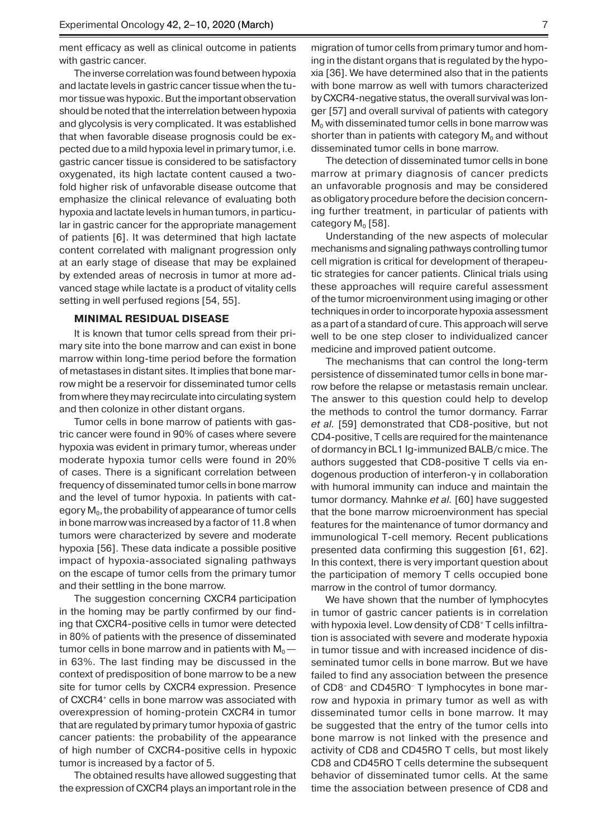ment efficacy as well as clinical outcome in patients with gastric cancer.

The inverse correlation was found between hypoxia and lactate levels in gastric cancer tissue when the tumor tissue was hypoxic. But the important observation should be noted that the interrelation between hypoxia and glycolysis is very complicated. It was established that when favorable disease prognosis could be expected due to a mild hypoxia level in primary tumor, i.e. gastric cancer tissue is considered to be satisfactory oxygenated, its high lactate content caused a twofold higher risk of unfavorable disease outcome that emphasize the clinical relevance of evaluating both hypoxia and lactate levels in human tumors, in particular in gastric cancer for the appropriate management of patients [6]. It was determined that high lactate content correlated with malignant progression only at an early stage of disease that may be explained by extended areas of necrosis in tumor at more advanced stage while lactate is a product of vitality cells setting in well perfused regions [54, 55].

### **MINIMAL RESIDUAL DISEASE**

It is known that tumor cells spread from their primary site into the bone marrow and can exist in bone marrow within long-time period before the formation of metastases in distant sites. It implies that bone marrow might be a reservoir for disseminated tumor cells from where they may recirculate into circulating system and then colonize in other distant organs.

Tumor cells in bone marrow of patients with gastric cancer were found in 90% of cases where severe hypoxia was evident in primary tumor, whereas under moderate hypoxia tumor cells were found in 20% of cases. There is a significant correlation between frequency of disseminated tumor cells in bone marrow and the level of tumor hypoxia. In patients with category  $M<sub>0</sub>$ , the probability of appearance of tumor cells in bone marrow was increased by a factor of 11.8 when tumors were characterized by severe and moderate hypoxia [56]. These data indicate a possible positive impact of hypoxia-associated signaling pathways on the escape of tumor cells from the primary tumor and their settling in the bone marrow.

The suggestion concerning CXCR4 participation in the homing may be partly confirmed by our finding that CXCR4-positive cells in tumor were detected in 80% of patients with the presence of disseminated tumor cells in bone marrow and in patients with  $M_0$  in 63%. The last finding may be discussed in the context of predisposition of bone marrow to be a new site for tumor cells by CXCR4 expression. Presence of CXCR4<sup>+</sup> cells in bone marrow was associated with overexpression of homing-protein CXCR4 in tumor that are regulated by primary tumor hypoxia of gastric cancer patients: the probability of the appearance of high number of CXCR4-positive cells in hypoxic tumor is increased by a factor of 5.

The obtained results have allowed suggesting that the expression of CXCR4 plays an important role in the

migration of tumor cells from primary tumor and homing in the distant organs that is regulated by the hypoxia [36]. We have determined also that in the patients with bone marrow as well with tumors characterized by CXCR4-negative status, the overall survival was longer [57] and overall survival of patients with category  $M<sub>0</sub>$  with disseminated tumor cells in bone marrow was shorter than in patients with category  $M_0$  and without disseminated tumor cells in bone marrow.

The detection of disseminated tumor cells in bone marrow at primary diagnosis of cancer predicts an unfavorable prognosis and may be considered as obligatory procedure before the decision concerning further treatment, in particular of patients with category  $M_0$  [58].

Understanding of the new aspects of molecular mechanisms and signaling pathways controlling tumor cell migration is critical for development of therapeutic strategies for cancer patients. Clinical trials using these approaches will require careful assessment of the tumor microenvironment using imaging or other techniques in order to incorporate hypoxia assessment as a part of a standard of cure. This approach will serve well to be one step closer to individualized cancer medicine and improved patient outcome.

The mechanisms that can control the long-term persistence of disseminated tumor cells in bone marrow before the relapse or metastasis remain unclear. The answer to this question could help to develop the methods to control the tumor dormancy. Farrar *et al.* [59] demonstrated that CD8-positive, but not CD4-positive, T cells are required for the maintenance of dormancy in BCL1 Ig-immunized BALB/c mice. The authors suggested that CD8-positive T cells via endogenous production of interferon-γ in collaboration with humoral immunity can induce and maintain the tumor dormancy. Mahnke *et al.* [60] have suggested that the bone marrow microenvironment has special features for the maintenance of tumor dormancy and immunological T-cell memory. Recent publications presented data confirming this suggestion [61, 62]. In this context, there is very important question about the participation of memory T cells occupied bone marrow in the control of tumor dormancy.

We have shown that the number of lymphocytes in tumor of gastric cancer patients is in correlation with hypoxia level. Low density of CD8<sup>+</sup> T cells infiltration is associated with severe and moderate hypoxia in tumor tissue and with increased incidenсe of disseminated tumor cells in bone marrow. But we have failed to find any association between the presence of CD8– and CD45RO– T lymphocytes in bone marrow and hypoxia in primary tumor as well as with disseminated tumor cells in bone marrow. It may be suggested that the entry of the tumor cells into bone marrow is not linked with the presence and activity of CD8 and CD45RO T cells, but most likely CD8 and CD45RO T cells determine the subsequent behavior of disseminated tumor cells. At the same time the association between presence of CD8 and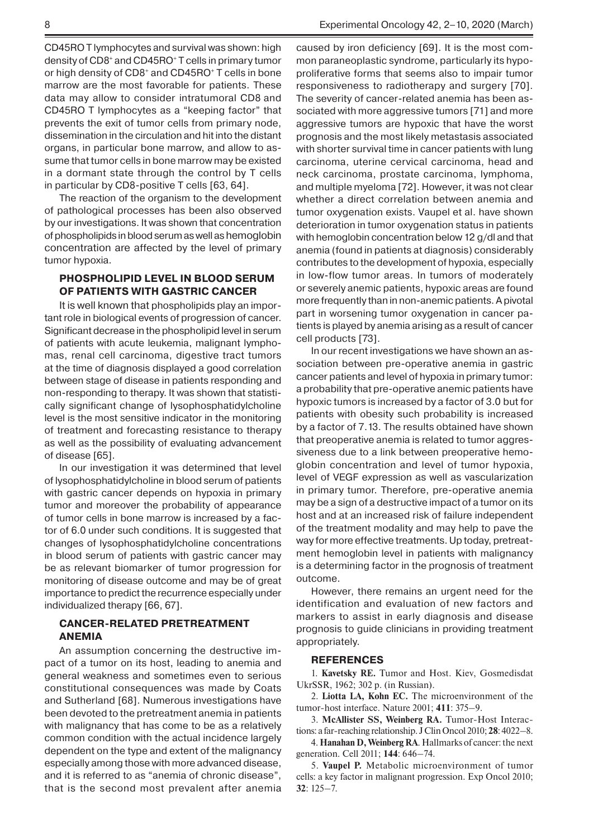CD45RO T lymphocytes and survival was shown: high density of CD8+ and CD45RO+ T cells in primary tumor or high density of CD8+ and CD45RO+ T cells in bone marrow are the most favorable for patients. These data may allow to consider intratumoral CD8 and CD45RO T lymphocytes as a "keeping factor" that prevents the exit of tumor cells from primary node, dissemination in the circulation and hit into the distant organs, in particular bone marrow, and allow to assume that tumor cells in bone marrow may be existed in a dormant state through the control by T cells in particular by CD8-positive T cells [63, 64].

The reaction of the organism to the development of pathological processes has been also observed by our investigations. It was shown that concentration of phospholipids in blood serum as well as hemoglobin concentration are affected by the level of primary tumor hypoxia.

## **PHOSPHOLIPID LEVEL IN BLOOD SERUM OF PATIENTS WITH GASTRIC CANCER**

It is well known that phospholipids play an important role in biological events of progression of cancer. Significant decrease in the phospholipid level in serum of patients with acute leukemia, malignant lymphomas, renal cell carcinoma, digestive tract tumors at the time of diagnosis displayed a good correlation between stage of disease in patients responding and non-responding to therapy. It was shown that statistically significant change of lysophosphatidylcholine level is the most sensitive indicator in the monitoring of treatment and forecasting resistance to therapy as well as the possibility of evaluating advancement of disease [65].

In our investigation it was determined that level of lysophosphatidylcholine in blood serum of patients with gastric cancer depends on hypoxia in primary tumor and moreover the probability of appearance of tumor cells in bone marrow is increased by a factor of 6.0 under such conditions. It is suggested that changes of lysophosphatidylcholine concentrations in blood serum of patients with gastric cancer may be as relevant biomarker of tumor progression for monitoring of disease outcome and may be of great importance to predict the recurrence especially under individualized therapy [66, 67].

## **CANCER-RELATED PRETREATMENT ANEMIA**

An assumption concerning the destructive impact of a tumor on its host, leading to anemia and general weakness and sometimes even to serious constitutional consequences was made by Coats and Sutherland [68]. Numerous investigations have been devoted to the pretreatment anemia in patients with malignancy that has come to be as a relatively common condition with the actual incidence largely dependent on the type and extent of the malignancy especially among those with more advanced disease, and it is referred to as "anemia of chronic disease", that is the second most prevalent after anemia

caused by iron deficiency [69]. It is the most common paraneoplastic syndrome, particularly its hypoproliferative forms that seems also to impair tumor responsiveness to radiotherapy and surgery [70]. The severity of cancer-related anemia has been associated with more aggressive tumors [71] and more aggressive tumors are hypoxic that have the worst prognosis and the most likely metastasis associated with shorter survival time in cancer patients with lung carcinoma, uterine cervical carcinoma, head and neck carcinoma, prostate carcinoma, lymphoma, and multiple myeloma [72]. However, it was not clear whether a direct correlation between anemia and tumor oxygenation exists. Vaupel et al. have shown deterioration in tumor oxygenation status in patients with hemoglobin concentration below 12 g/dl and that anemia (found in patients at diagnosis) considerably contributes to the development of hypoxia, especially in low-flow tumor areas. In tumors of moderately or severely anemic patients, hypoxic areas are found more frequently than in non-anemic patients. A pivotal part in worsening tumor oxygenation in cancer patients is played by anemia arising as a result of cancer cell products [73].

In our recent investigations we have shown an association between pre-operative anemia in gastric cancer patients and level of hypoxia in primary tumor: a probability that pre-operative anemic patients have hypoxic tumors is increased by a factor of 3.0 but for patients with obesity such probability is increased by a factor of 7.13. The results obtained have shown that preoperative anemia is related to tumor aggressiveness due to a link between preoperative hemoglobin concentration and level of tumor hypoxia, level of VEGF expression as well as vascularization in primary tumor. Therefore, pre-operative anemia may be a sign of a destructive impact of a tumor on its host and at an increased risk of failure independent of the treatment modality and may help to pave the way for more effective treatments. Up today, pretreatment hemoglobin level in patients with malignancy is a determining factor in the prognosis of treatment outcome.

However, there remains an urgent need for the identification and evaluation of new factors and markers to assist in early diagnosis and disease prognosis to guide clinicians in providing treatment appropriately.

#### **REFERENCES**

1. **Kavetsky RE.** Tumor and Host. Kiev, Gosmedisdat UkrSSR, 1962; 302 p. (in Russian).

2. **Liotta LA, Kohn EC.** The microenvironment of the tumor-host interface. Nature 2001; **411**: 375–9.

3. **McAllister SS, Weinberg RA.** Tumor-Host Interactions: a far-reaching relationship. J Clin Oncol 2010; **28**: 4022–8.

4. **Hanahan D, Weinberg RA**. Hallmarks of cancer: the next generation. Cell 2011; **144**: 646–74.

5. **Vaupel P.** Metabolic microenvironment of tumor cells: a key factor in malignant progression. Exp Oncol 2010; **32**: 125–7.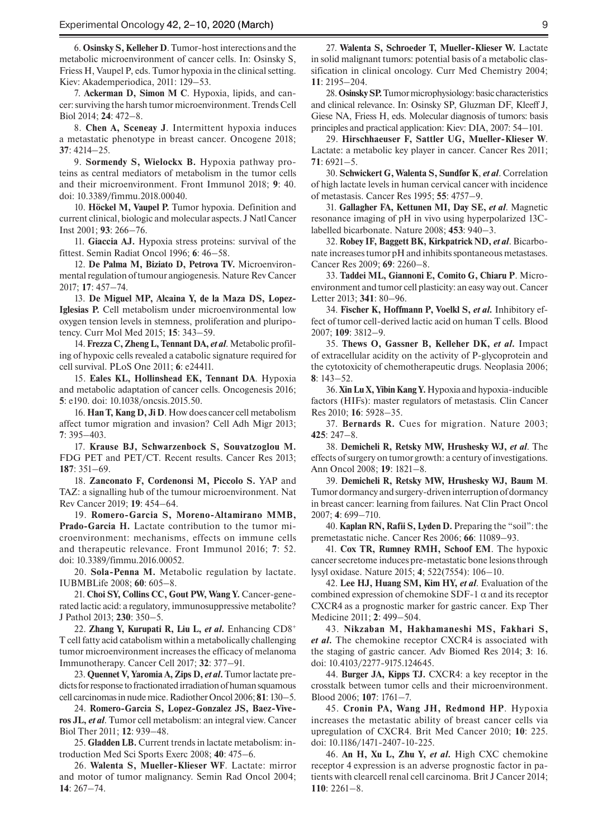6. **Osinsky S, Kelleher D**. Tumor-host interections and the metabolic microenvironment of cancer cells. In: Osinsky S, Friess H, Vaupel P, eds. Tumor hypoxia in the clinical setting. Kiev: Akademperiodica, 2011: 129–53.

7. **Ackerman D, Simon M C**. Hypoxia, lipids, and cancer: surviving the harsh tumor microenvironment. Trends Cell Biol 2014; **24**: 472–8.

8. **Chen A, Sceneay J**. Intermittent hypoxia induces a metastatic phenotype in breast cancer. Oncogene 2018; **37**: 4214–25.

9. **Sormendy S, Wielockx B.** Hypoxia pathway proteins as central mediators of metabolism in the tumor cells and their microenvironment. Front Immunol 2018; **9**: 40. doi: 10.3389/fimmu.2018.00040.

10. **Höckel M, Vaupel P.** Tumor hypoxia. Definition and current clinical, biologic and molecular aspects. J Natl Cancer Inst 2001; **93**: 266–76.

11. **Giaccia AJ.** Hypoxia stress proteins: survival of the fittest. Semin Radiat Oncol 1996; **6**: 46–58.

12. **De Palma M, Biziato D, Petrova TV.** Microenvironmental regulation of tumour angiogenesis. Nature Rev Cancer 2017; **17**: 457–74.

13. **De Miguel MP, Alcaina Y, de la Maza DS, Lopez-Iglesias P.** Cell metabolism under microenvironmental low oxygen tension levels in stemness, proliferation and pluripotency. Curr Mol Med 2015; **15**: 343–59.

14. **Frezza C, Zheng L, Tennant DA,** *et al*. Metabolic profiling of hypoxic cells revealed a catabolic signature required for cell survival. PLoS One 2011; **6**: e24411.

15. **Eales KL, Hollinshead EK, Tennant DA**. Hypoxia and metabolic adaptation of cancer cells. Oncogenesis 2016; **5**: e190. doi: 10.1038/oncsis.2015.50.

16. **Han T, Kang D, Ji D**. How does cancer cell metabolism affect tumor migration and invasion? Cell Adh Migr 2013; **7**: 395–403.

17. **Krause BJ, Schwarzenbock S, Souvatzoglou M.** FDG PET and PET/CT. Recent results. Cancer Res 2013; **187**: 351–69.

18. **Zanconato F, Cordenonsi M, Piccolo S.** YAP and TAZ: a signalling hub of the tumour microenvironment. Nat Rev Cancer 2019; **19**: 454–64.

19. **Romero-Garcia S, Moreno-Altamirano MMB, Prado-Garcia H.** Lactate contribution to the tumor microenvironment: mechanisms, effects on immune cells and therapeutic relevance. Front Immunol 2016; **7**: 52. doi: 10.3389/fimmu.2016.00052.

20. **Sola-Penna M.** Metabolic regulation by lactate. IUBMBLife 2008; **60**: 605–8.

21. **Choi SY, Collins CC, Gout PW, Wang Y.** Cancer-generated lactic acid: a regulatory, immunosuppressive metabolite? J Pathol 2013; **230**: 350–5.

22. **Zhang Y, Kurupati R, Liu L,** *et al***.** Enhancing CD8+ T cell fatty acid catabolism within a metabolically challenging tumor microenvironment increases the efficacy of melanoma Immunotherapy. Cancer Cell 2017; **32**: 377–91.

23. **Quennet V, Yaromia A, Zips D,** *et al***.** Tumor lactate predicts for response to fractionated irradiation of human squamous cell carcinomas in nude mice. Radiother Oncol 2006; **81**: 130–5.

24. **Romero-Garcia S, Lopez-Gonzalez JS, Baez-Viveros JL,** *et al*. Tumor cell metabolism: an integral view. Cancer Biol Ther 2011; **12**: 939–48.

25. **Gladden LB.** Current trends in lactate metabolism: introduction Med Sci Sports Exerc 2008; **40**: 475–6.

26. **Walenta S, Mueller-Klieser WF**. Lactate: mirror and motor of tumor malignancy. Semin Rad Oncol 2004; **14**: 267–74.

28. **Osinsky SP.** Tumor microphysiology: basic characteristics and clinical relevance. In: Osinsky SP, Gluzman DF, Kleeff J, Giese NA, Friess H, eds. Molecular diagnosis of tumors: basis principles and practical application: Kiev: DIA, 2007: 54–101.

29. **Hirschhaeuser F, Sattler UG, Mueller-Klieser W**. Lactate: a metabolic key player in cancer. Cancer Res 2011; **71**: 6921–5.

30. **Schwickert G, Walenta S, Sundfør K**, *et al*. Correlation of high lactate levels in human cervical cancer with incidence of metastasis. Cancer Res 1995; **55**: 4757–9.

31. **Gallagher FA, Kettunen MI, Day SE,** *et al*. Magnetic resonance imaging of pH in vivo using hyperpolarized 13Clabelled bicarbonate. Nature 2008; **453**: 940–3.

32. **Robey IF, Baggett BK, Kirkpatrick ND,** *et al*. Bicarbonate increases tumor pH and inhibits spontaneous metastases. Cancer Res 2009; **69**: 2260–8.

33. **Taddei ML, Giannoni E, Comito G, Chiaru P**. Microenvironment and tumor cell plasticity: an easy way out. Cancer Letter 2013; **341**: 80–96.

34. **Fischer K, Hoffmann P, Voelkl S,** *et al.* Inhibitory effect of tumor cell-derived lactic acid on human T cells. Blood 2007; **109**: 3812–9.

35. **Thews O, Gassner B, Kelleher DK,** *et al***.** Impact of extracellular acidity on the activity of P-glycoprotein and the cytotoxicity of chemotherapeutic drugs. Neoplasia 2006; **8**: 143–52.

36. **Xin Lu X, Yibin Kang Y.** Hypoxia and hypoxia-inducible factors (HIFs): master regulators of metastasis. Clin Cancer Res 2010; **16**: 5928–35.

37. **Bernards R.** Cues for migration. Nature 2003; **425**: 247–8.

38. **Demicheli R, Retsky MW, Hrushesky WJ,** *et al*. The effects of surgery on tumor growth: a century of investigations. Ann Oncol 2008; **19**: 1821–8.

39. **Demicheli R, Retsky MW, Hrushesky WJ, Baum M**. Tumor dormancy and surgery-driven interruption of dormancy in breast cancer: learning from failures. Nat Clin Pract Oncol 2007; **4**: 699–710.

40. **Kaplan RN, Rafii S, Lyden D.** Preparing the "soil": the premetastatic niche. Cancer Res 2006; **66**: 11089–93.

41. **Cox TR, Rumney RMH, Schoof EM**. The hypoxic cancer secretome induces pre-metastatic bone lesions through lysyl oxidase. Nature 2015; **4**; 522(7554): 106–10.

42. **Lee HJ, Huang SM, Kim HY,** *et al*. Evaluation of the combined expression of chemokine SDF-1  $\alpha$  and its receptor CXCR4 as a prognostic marker for gastric cancer. Exp Ther Medicine 2011; **2**: 499–504.

43. **Nikzaban M, Hakhamaneshi MS, Fakhari S,**  *et al***.** The chemokine receptor CXCR4 is associated with the staging of gastric cancer. Adv Biomed Res 2014; **3**: 16. doi: 10.4103/2277-9175.124645.

44. **Burger JA, Kipps TJ.** CXCR4: a key receptor in the crosstalk between tumor cells and their microenvironment. Blood 2006; **107**: 1761–7.

45. **Cronin PA, Wang JH, Redmond HP**. Hypoxia increases the metastatic ability of breast cancer cells via upregulation of CXCR4. Brit Med Cancer 2010; **10**: 225. doi: 10.1186/1471-2407-10-225.

46. **An H, Xu L, Zhu Y,** *et al.* High CXC chemokine receptor 4 expression is an adverse prognostic factor in patients with clearcell renal cell carcinoma. Brit J Cancer 2014; **110**: 2261–8.